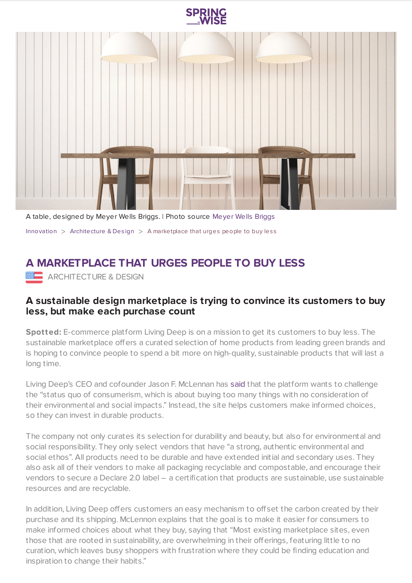



A table, designed by Meyer Wells Briggs. | Photo source [Meyer](https://livingdeep.com/) Wells Briggs [Innovation](https://www.springwise.com/search?type=innovation)  $>$  [Architecture](https://www.springwise.com/search?type=innovation§or=architecture-design) & Design  $>$  A marketplace that urges people to buy less

## **A MARKETPLACE THAT URGES PEOPLE TO BUY LESS**

ARCHITECTURE & DESIGN

## **A sustainable design marketplace is trying to convince its customers to buy less, but make each purchase count**

**Spotted:** E-commerce platform Living Deep is on a mission to get its customers to buy less. The sustainable marketplace offers a curated selection of home products from leading green brands and is hoping to convince people to spend a bit more on high-quality, sustainable products that will last a long time.

Living Deep's CEO and cofounder Jason F. McLennan has [said](https://www.surfacemag.com/articles/living-deep-sustainable-design-marketplace/) that the platform wants to challenge the "status quo of consumerism, which is about buying too many things with no consideration of their environmental and social impacts." Instead, the site helps customers make informed choices, so they can invest in durable products.

The company not only curates its selection for durability and beauty, but also for environmental and social responsibility. They only select vendors that have "a strong, authentic environmental and social ethos". All products need to be durable and have extended initial and secondary uses. They also ask all of their vendors to make all packaging recyclable and compostable, and encourage their vendors to secure a Declare 2.0 label – a certification that products are sustainable, use sustainable resources and are recyclable.

In addition, Living Deep offers customers an easy mechanism to offset the carbon created by their purchase and its shipping. McLennon explains that the goal is to make it easier for consumers to make informed choices about what they buy, saying that "Most existing marketplace sites, even those that are rooted in sustainability, are overwhelming in their offerings, featuring little to no curation, which leaves busy shoppers with frustration where they could be finding education and inspiration to change their habits."